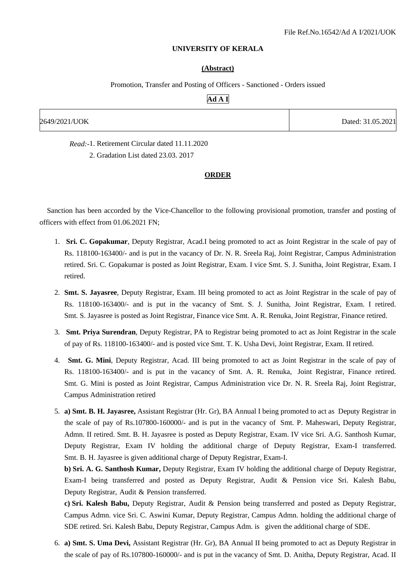### **UNIVERSITY OF KERALA**

#### **(Abstract)**

Promotion, Transfer and Posting of Officers - Sanctioned - Orders issued

# **Ad A I**

| 2649/2021/UOK | Dated: 31.05.2021 |
|---------------|-------------------|
|               |                   |

*Read:-*1. Retirement Circular dated 11.11.2020

2. Gradation List dated 23.03. 2017

### **ORDER**

 Sanction has been accorded by the Vice-Chancellor to the following provisional promotion, transfer and posting of officers with effect from 01.06.2021 FN;

- 1. **Sri. C. Gopakumar**, Deputy Registrar, Acad.I being promoted to act as Joint Registrar in the scale of pay of Rs. 118100-163400/- and is put in the vacancy of Dr. N. R. Sreela Raj, Joint Registrar, Campus Administration retired. Sri. C. Gopakumar is posted as Joint Registrar, Exam. I vice Smt. S. J. Sunitha, Joint Registrar, Exam. I retired.
- 2. **Smt. S. Jayasree**, Deputy Registrar, Exam. III being promoted to act as Joint Registrar in the scale of pay of Rs. 118100-163400/- and is put in the vacancy of Smt. S. J. Sunitha, Joint Registrar, Exam. I retired. Smt. S. Jayasree is posted as Joint Registrar, Finance vice Smt. A. R. Renuka, Joint Registrar, Finance retired.
- 3. **Smt. Priya Surendran**, Deputy Registrar, PA to Registrar being promoted to act as Joint Registrar in the scale of pay of Rs. 118100-163400/- and is posted vice Smt. T. K. Usha Devi, Joint Registrar, Exam. II retired.
- 4. **Smt. G. Mini**, Deputy Registrar, Acad. III being promoted to act as Joint Registrar in the scale of pay of Rs. 118100-163400/- and is put in the vacancy of Smt. A. R. Renuka, Joint Registrar, Finance retired. Smt. G. Mini is posted as Joint Registrar, Campus Administration vice Dr. N. R. Sreela Raj, Joint Registrar, Campus Administration retired
- 5. **a) Smt. B. H. Jayasree,** Assistant Registrar (Hr. Gr), BA Annual I being promoted to act as Deputy Registrar in the scale of pay of Rs.107800-160000/- and is put in the vacancy of Smt. P. Maheswari, Deputy Registrar, Admn. II retired. Smt. B. H. Jayasree is posted as Deputy Registrar, Exam. IV vice Sri. A.G. Santhosh Kumar, Deputy Registrar, Exam IV holding the additional charge of Deputy Registrar, Exam-I transferred. Smt. B. H. Jayasree is given additional charge of Deputy Registrar, Exam-I.

**b) Sri. A. G. Santhosh Kumar,** Deputy Registrar, Exam IV holding the additional charge of Deputy Registrar, Exam-I being transferred and posted as Deputy Registrar, Audit & Pension vice Sri. Kalesh Babu, Deputy Registrar, Audit & Pension transferred.

**c) Sri. Kalesh Babu,** Deputy Registrar, Audit & Pension being transferred and posted as Deputy Registrar, Campus Admn. vice Sri. C. Aswini Kumar, Deputy Registrar, Campus Admn. holding the additional charge of SDE retired. Sri. Kalesh Babu, Deputy Registrar, Campus Adm. is given the additional charge of SDE.

6. **a) Smt. S. Uma Devi,** Assistant Registrar (Hr. Gr), BA Annual II being promoted to act as Deputy Registrar in the scale of pay of Rs.107800-160000/- and is put in the vacancy of Smt. D. Anitha, Deputy Registrar, Acad. II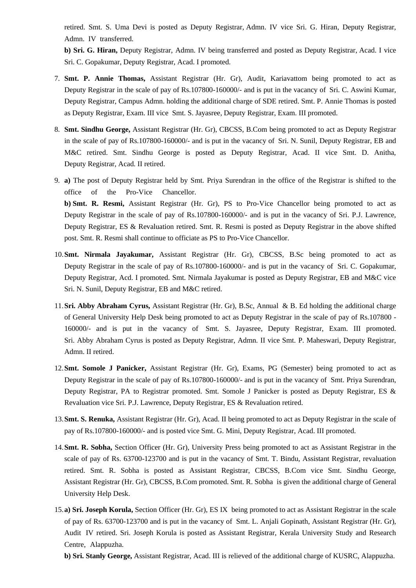retired. Smt. S. Uma Devi is posted as Deputy Registrar, Admn. IV vice Sri. G. Hiran, Deputy Registrar, Admn. IV transferred.

**b) Sri. G. Hiran,** Deputy Registrar, Admn. IV being transferred and posted as Deputy Registrar, Acad. I vice Sri. C. Gopakumar, Deputy Registrar, Acad. I promoted.

- 7. **Smt. P. Annie Thomas,** Assistant Registrar (Hr. Gr), Audit, Kariavattom being promoted to act as Deputy Registrar in the scale of pay of Rs.107800-160000/- and is put in the vacancy of Sri. C. Aswini Kumar, Deputy Registrar, Campus Admn. holding the additional charge of SDE retired. Smt. P. Annie Thomas is posted as Deputy Registrar, Exam. III vice Smt. S. Jayasree, Deputy Registrar, Exam. III promoted.
- 8. **Smt. Sindhu George,** Assistant Registrar (Hr. Gr), CBCSS, B.Com being promoted to act as Deputy Registrar in the scale of pay of Rs.107800-160000/- and is put in the vacancy of Sri. N. Sunil, Deputy Registrar, EB and M&C retired. Smt. Sindhu George is posted as Deputy Registrar, Acad. II vice Smt. D. Anitha, Deputy Registrar, Acad. II retired.
- 9. **a)** The post of Deputy Registrar held by Smt. Priya Surendran in the office of the Registrar is shifted to the office of the Pro-Vice Chancellor. **b) Smt. R. Resmi,** Assistant Registrar (Hr. Gr), PS to Pro-Vice Chancellor being promoted to act as Deputy Registrar in the scale of pay of Rs.107800-160000/- and is put in the vacancy of Sri. P.J. Lawrence, Deputy Registrar, ES & Revaluation retired. Smt. R. Resmi is posted as Deputy Registrar in the above shifted post. Smt. R. Resmi shall continue to officiate as PS to Pro-Vice Chancellor.
- 10.**Smt. Nirmala Jayakumar,** Assistant Registrar (Hr. Gr), CBCSS, B.Sc being promoted to act as Deputy Registrar in the scale of pay of Rs.107800-160000/- and is put in the vacancy of Sri. C. Gopakumar, Deputy Registrar, Acd. I promoted. Smt. Nirmala Jayakumar is posted as Deputy Registrar, EB and M&C vice Sri. N. Sunil, Deputy Registrar, EB and M&C retired.
- 11.**Sri. Abby Abraham Cyrus,** Assistant Registrar (Hr. Gr), B.Sc, Annual & B. Ed holding the additional charge of General University Help Desk being promoted to act as Deputy Registrar in the scale of pay of Rs.107800 - 160000/- and is put in the vacancy of Smt. S. Jayasree, Deputy Registrar, Exam. III promoted. Sri. Abby Abraham Cyrus is posted as Deputy Registrar, Admn. II vice Smt. P. Maheswari, Deputy Registrar, Admn. II retired.
- 12.**Smt. Somole J Panicker,** Assistant Registrar (Hr. Gr), Exams, PG (Semester) being promoted to act as Deputy Registrar in the scale of pay of Rs.107800-160000/- and is put in the vacancy of Smt. Priya Surendran, Deputy Registrar, PA to Registrar promoted. Smt. Somole J Panicker is posted as Deputy Registrar, ES & Revaluation vice Sri. P.J. Lawrence, Deputy Registrar, ES & Revaluation retired.
- 13.**Smt. S. Renuka,** Assistant Registrar (Hr. Gr), Acad. II being promoted to act as Deputy Registrar in the scale of pay of Rs.107800-160000/- and is posted vice Smt. G. Mini, Deputy Registrar, Acad. III promoted.
- 14.**Smt. R. Sobha,** Section Officer (Hr. Gr), University Press being promoted to act as Assistant Registrar in the scale of pay of Rs. 63700-123700 and is put in the vacancy of Smt. T. Bindu, Assistant Registrar, revaluation retired. Smt. R. Sobha is posted as Assistant Registrar, CBCSS, B.Com vice Smt. Sindhu George, Assistant Registrar (Hr. Gr), CBCSS, B.Com promoted. Smt. R. Sobha is given the additional charge of General University Help Desk.
- 15.**a) Sri. Joseph Korula,** Section Officer (Hr. Gr), ES IX being promoted to act as Assistant Registrar in the scale of pay of Rs. 63700-123700 and is put in the vacancy of Smt. L. Anjali Gopinath, Assistant Registrar (Hr. Gr), Audit IV retired. Sri. Joseph Korula is posted as Assistant Registrar, Kerala University Study and Research Centre, Alappuzha.

**b) Sri. Stanly George,** Assistant Registrar, Acad. III is relieved of the additional charge of KUSRC, Alappuzha.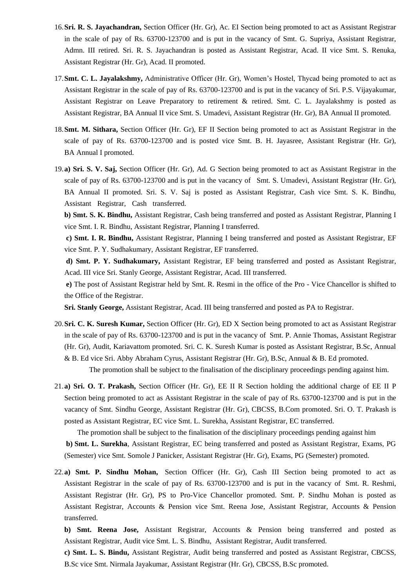- 16.**Sri. R. S. Jayachandran,** Section Officer (Hr. Gr), Ac. EI Section being promoted to act as Assistant Registrar in the scale of pay of Rs. 63700-123700 and is put in the vacancy of Smt. G. Supriya, Assistant Registrar, Admn. III retired. Sri. R. S. Jayachandran is posted as Assistant Registrar, Acad. II vice Smt. S. Renuka, Assistant Registrar (Hr. Gr), Acad. II promoted.
- 17.**Smt. C. L. Jayalakshmy,** Administrative Officer (Hr. Gr), Women's Hostel, Thycad being promoted to act as Assistant Registrar in the scale of pay of Rs. 63700-123700 and is put in the vacancy of Sri. P.S. Vijayakumar, Assistant Registrar on Leave Preparatory to retirement & retired. Smt. C. L. Jayalakshmy is posted as Assistant Registrar, BA Annual II vice Smt. S. Umadevi, Assistant Registrar (Hr. Gr), BA Annual II promoted.
- 18.**Smt. M. Sithara,** Section Officer (Hr. Gr), EF II Section being promoted to act as Assistant Registrar in the scale of pay of Rs. 63700-123700 and is posted vice Smt. B. H. Jayasree, Assistant Registrar (Hr. Gr), BA Annual I promoted.
- 19.**a) Sri. S. V. Saj,** Section Officer (Hr. Gr), Ad. G Section being promoted to act as Assistant Registrar in the scale of pay of Rs. 63700-123700 and is put in the vacancy of Smt. S. Umadevi, Assistant Registrar (Hr. Gr), BA Annual II promoted. Sri. S. V. Saj is posted as Assistant Registrar, Cash vice Smt. S. K. Bindhu, Assistant Registrar, Cash transferred.

**b) Smt. S. K. Bindhu,** Assistant Registrar, Cash being transferred and posted as Assistant Registrar, Planning I vice Smt. I. R. Bindhu, Assistant Registrar, Planning I transferred.

**c) Smt. I. R. Bindhu,** Assistant Registrar, Planning I being transferred and posted as Assistant Registrar, EF vice Smt. P. Y. Sudhakumary, Assistant Registrar, EF transferred.

**d) Smt. P. Y. Sudhakumary,** Assistant Registrar, EF being transferred and posted as Assistant Registrar, Acad. III vice Sri. Stanly George, Assistant Registrar, Acad. III transferred.

**e)** The post of Assistant Registrar held by Smt. R. Resmi in the office of the Pro - Vice Chancellor is shifted to the Office of the Registrar.

**Sri. Stanly George,** Assistant Registrar, Acad. III being transferred and posted as PA to Registrar.

- 20.**Sri. C. K. Suresh Kumar,** Section Officer (Hr. Gr), ED X Section being promoted to act as Assistant Registrar in the scale of pay of Rs. 63700-123700 and is put in the vacancy of Smt. P. Annie Thomas, Assistant Registrar (Hr. Gr), Audit, Kariavattom promoted. Sri. C. K. Suresh Kumar is posted as Assistant Registrar, B.Sc, Annual & B. Ed vice Sri. Abby Abraham Cyrus, Assistant Registrar (Hr. Gr), B.Sc, Annual & B. Ed promoted. The promotion shall be subject to the finalisation of the disciplinary proceedings pending against him.
- 21.**a) Sri. O. T. Prakash,** Section Officer (Hr. Gr), EE II R Section holding the additional charge of EE II P Section being promoted to act as Assistant Registrar in the scale of pay of Rs. 63700-123700 and is put in the vacancy of Smt. Sindhu George, Assistant Registrar (Hr. Gr), CBCSS, B.Com promoted. Sri. O. T. Prakash is posted as Assistant Registrar, EC vice Smt. L. Surekha, Assistant Registrar, EC transferred.

The promotion shall be subject to the finalisation of the disciplinary proceedings pending against him **b) Smt. L. Surekha**, Assistant Registrar, EC being transferred and posted as Assistant Registrar, Exams, PG (Semester) vice Smt. Somole J Panicker, Assistant Registrar (Hr. Gr), Exams, PG (Semester) promoted.

22.**a) Smt. P. Sindhu Mohan,** Section Officer (Hr. Gr), Cash III Section being promoted to act as Assistant Registrar in the scale of pay of Rs. 63700-123700 and is put in the vacancy of Smt. R. Reshmi, Assistant Registrar (Hr. Gr), PS to Pro-Vice Chancellor promoted. Smt. P. Sindhu Mohan is posted as Assistant Registrar, Accounts & Pension vice Smt. Reena Jose, Assistant Registrar, Accounts & Pension transferred.

**b) Smt. Reena Jose,** Assistant Registrar, Accounts & Pension being transferred and posted as Assistant Registrar, Audit vice Smt. L. S. Bindhu, Assistant Registrar, Audit transferred.

**c) Smt. L. S. Bindu,** Assistant Registrar, Audit being transferred and posted as Assistant Registrar, CBCSS, B.Sc vice Smt. Nirmala Jayakumar, Assistant Registrar (Hr. Gr), CBCSS, B.Sc promoted.